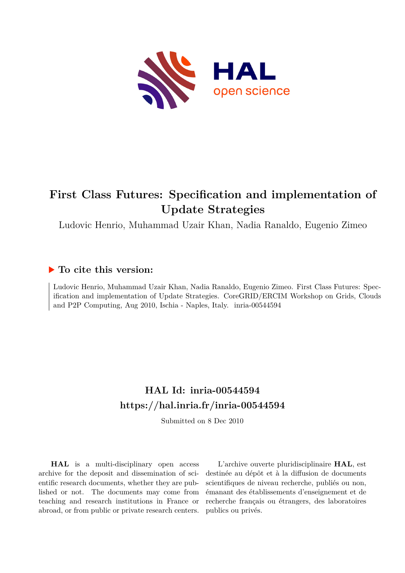

# **First Class Futures: Specification and implementation of Update Strategies**

Ludovic Henrio, Muhammad Uzair Khan, Nadia Ranaldo, Eugenio Zimeo

## **To cite this version:**

Ludovic Henrio, Muhammad Uzair Khan, Nadia Ranaldo, Eugenio Zimeo. First Class Futures: Specification and implementation of Update Strategies. CoreGRID/ERCIM Workshop on Grids, Clouds and P2P Computing, Aug 2010, Ischia - Naples, Italy. inria-00544594

# **HAL Id: inria-00544594 <https://hal.inria.fr/inria-00544594>**

Submitted on 8 Dec 2010

**HAL** is a multi-disciplinary open access archive for the deposit and dissemination of scientific research documents, whether they are published or not. The documents may come from teaching and research institutions in France or abroad, or from public or private research centers.

L'archive ouverte pluridisciplinaire **HAL**, est destinée au dépôt et à la diffusion de documents scientifiques de niveau recherche, publiés ou non, émanant des établissements d'enseignement et de recherche français ou étrangers, des laboratoires publics ou privés.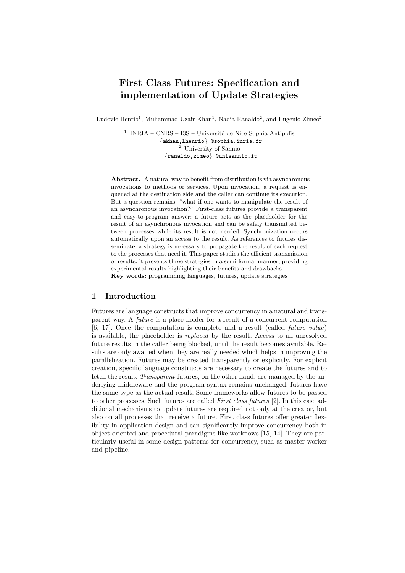## First Class Futures: Specification and implementation of Update Strategies

Ludovic Henrio<sup>1</sup>, Muhammad Uzair Khan<sup>1</sup>, Nadia Ranaldo<sup>2</sup>, and Eugenio Zimeo<sup>2</sup>

<sup>1</sup> INRIA – CNRS – I3S – Université de Nice Sophia-Antipolis *{*mkhan,lhenrio*}* @sophia.inria.fr <sup>2</sup> University of Sannio *{*ranaldo,zimeo*}* @unisannio.it

Abstract. A natural way to benefit from distribution is via asynchronous invocations to methods or services. Upon invocation, a request is enqueued at the destination side and the caller can continue its execution. But a question remains: "what if one wants to manipulate the result of an asynchronous invocation?" First-class futures provide a transparent and easy-to-program answer: a future acts as the placeholder for the result of an asynchronous invocation and can be safely transmitted between processes while its result is not needed. Synchronization occurs automatically upon an access to the result. As references to futures disseminate, a strategy is necessary to propagate the result of each request to the processes that need it. This paper studies the efficient transmission of results: it presents three strategies in a semi-formal manner, providing experimental results highlighting their benefits and drawbacks. Key words: programming languages, futures, update strategies

## 1 Introduction

Futures are language constructs that improve concurrency in a natural and transparent way. A *future* is a place holder for a result of a concurrent computation [6, 17]. Once the computation is complete and a result (called *future value*) is available, the placeholder is *replaced* by the result. Access to an unresolved future results in the caller being blocked, until the result becomes available. Results are only awaited when they are really needed which helps in improving the parallelization. Futures may be created transparently or explicitly. For explicit creation, specific language constructs are necessary to create the futures and to fetch the result. *Transparent* futures, on the other hand, are managed by the underlying middleware and the program syntax remains unchanged; futures have the same type as the actual result. Some frameworks allow futures to be passed to other processes. Such futures are called *First class futures* [2]. In this case additional mechanisms to update futures are required not only at the creator, but also on all processes that receive a future. First class futures offer greater flexibility in application design and can significantly improve concurrency both in object-oriented and procedural paradigms like workflows [15, 14]. They are particularly useful in some design patterns for concurrency, such as master-worker and pipeline.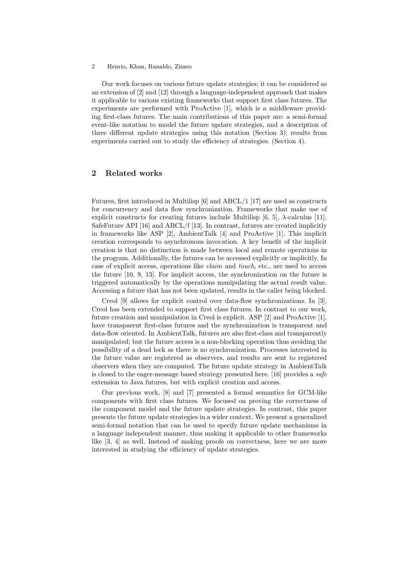Our work focuses on various future update strategies; it can be considered as an extension of [2] and [12] through a language-independent approach that makes it applicable to various existing frameworks that support first class futures. The experiments are performed with ProActive [1], which is a middleware providing first-class futures. The main contributions of this paper are: a semi-formal event-like notation to model the future update strategies, and a description of three different update strategies using this notation (Section 3); results from experiments carried out to study the efficiency of strategies. (Section 4).

## 2 Related works

Futures, first introduced in Multilisp [6] and ABCL/1 [17] are used as constructs for concurrency and data flow synchronization. Frameworks that make use of explicit constructs for creating futures include Multilisp  $[6, 5]$ ,  $\lambda$ -calculus  $[11]$ , SafeFuture API [16] and ABCL/f [13]. In contrast, futures are created implicitly in frameworks like ASP [2], AmbientTalk [4] and ProActive [1]. This implicit creation corresponds to asynchronous invocation. A key benefit of the implicit creation is that no distinction is made between local and remote operations in the program. Additionally, the futures can be accessed explicitly or implicitly. In case of explicit access, operations like *claim* and *touch*, etc., are used to access the future [10, 9, 13]. For implicit access, the synchronization on the future is triggered automatically by the operations manipulating the actual result value. Accessing a future that has not been updated, results in the caller being blocked.

Creol [9] allows for explicit control over data-flow synchronizations. In [3], Creol has been extended to support first class futures. In contrast to our work, future creation and manipulation in Creol is explicit. ASP [2] and ProActive [1], have transparent first-class futures and the synchronization is transparent and data-flow oriented. In AmbientTalk, futures are also first-class and transparently manipulated; but the future access is a non-blocking operation thus avoiding the possibility of a dead lock as there is no synchronization. Processes interested in the future value are registered as observers, and results are sent to registered observers when they are computed. The future update strategy in AmbientTalk is closed to the eager-message based strategy presented here. [16] provides a *safe* extension to Java futures, but with explicit creation and access.

Our previous work, [8] and [7] presented a formal semantics for GCM-like components with first class futures. We focused on proving the correctness of the component model and the future update strategies. In contrast, this paper presents the future update strategies in a wider context. We present a generalized semi-formal notation that can be used to specify future update mechanisms in a language independent manner, thus making it applicable to other frameworks like [3, 4] as well. Instead of making proofs on correctness, here we are more interested in studying the efficiency of update strategies.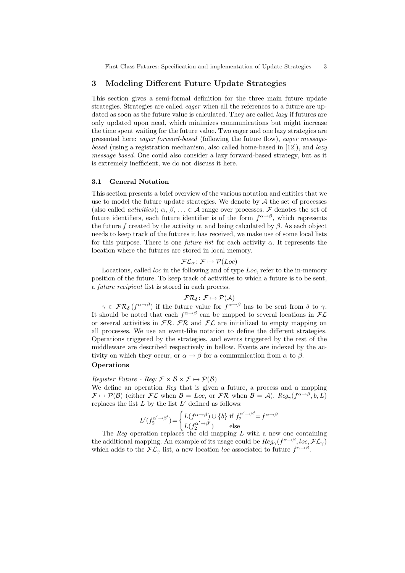## 3 Modeling Different Future Update Strategies

This section gives a semi-formal definition for the three main future update strategies. Strategies are called *eager* when all the references to a future are updated as soon as the future value is calculated. They are called *lazy* if futures are only updated upon need, which minimizes communications but might increase the time spent waiting for the future value. Two eager and one lazy strategies are presented here: *eager forward-based* (following the future flow), *eager messagebased* (using a registration mechanism, also called home-based in [12]), and *lazy message based*. One could also consider a lazy forward-based strategy, but as it is extremely inefficient, we do not discuss it here.

## 3.1 General Notation

This section presents a brief overview of the various notation and entities that we use to model the future update strategies. We denote by  $A$  the set of processes (also called *activities*);  $\alpha, \beta, \ldots \in \mathcal{A}$  range over processes. F denotes the set of future identifiers, each future identifier is of the form  $f^{\alpha \rightarrow \beta}$ , which represents the future f created by the activity  $\alpha$ , and being calculated by  $\beta$ . As each object needs to keep track of the futures it has received, we make use of some local lists for this purpose. There is one *future list* for each activity  $\alpha$ . It represents the location where the futures are stored in local memory.

$$
\mathcal{FL}_{\alpha} \colon \mathcal{F} \mapsto \mathcal{P}(Loc)
$$

Locations, called *loc* in the following and of type Loc, refer to the in-memory position of the future. To keep track of activities to which a future is to be sent, a *future recipient* list is stored in each process.

$$
\mathcal{FR}_{\delta}\colon \mathcal{F} \mapsto \mathcal{P}(\mathcal{A})
$$

 $\gamma \in \mathcal{FR}_{\delta}\left(f^{\alpha \to \beta}\right)$  if the future value for  $f^{\alpha \to \beta}$  has to be sent from  $\delta$  to  $\gamma$ . It should be noted that each  $f^{\alpha \rightarrow \beta}$  can be mapped to several locations in  $FL$ or several activities in  $\mathcal{FR}$ .  $\mathcal{FR}$  and  $\mathcal{FL}$  are initialized to empty mapping on all processes. We use an event-like notation to define the different strategies. Operations triggered by the strategies, and events triggered by the rest of the middleware are described respectively in bellow. Events are indexed by the activity on which they occur, or  $\alpha \to \beta$  for a communication from  $\alpha$  to  $\beta$ .

#### **Operations**

## *Register Future - Reg:*  $\mathcal{F} \times \mathcal{B} \times \mathcal{F} \mapsto \mathcal{P}(\mathcal{B})$

We define an operation *Reg* that is given a future, a process and a mapping  $\mathcal{F} \mapsto \mathcal{P}(\mathcal{B})$  (either  $\mathcal{F}\mathcal{L}$  when  $\mathcal{B} = Loc$ , or  $\mathcal{F}\mathcal{R}$  when  $\mathcal{B} = \mathcal{A}$ ).  $Reg_{\gamma}(f^{\alpha \rightarrow \beta}, b, L)$ replaces the list  $L$  by the list  $L'$  defined as follows:

$$
L'(f_2^{\alpha'\to\beta'}) = \begin{cases} L(f^{\alpha\to\beta}) \cup \{b\} & \text{if } f_2^{\alpha'\to\beta'} = f^{\alpha\to\beta} \\ L(f_2^{\alpha'\to\beta'}) & \text{else} \end{cases}
$$

The *Reg* operation replaces the old mapping L with a new one containing the additional mapping. An example of its usage could be  $Reg_{\gamma}(f^{\alpha \rightarrow \beta}, loc, \mathcal{FL}_{\gamma})$ which adds to the  $\mathcal{FL}_{\gamma}$  list, a new location loc associated to future  $f^{\alpha \rightarrow \beta}$ .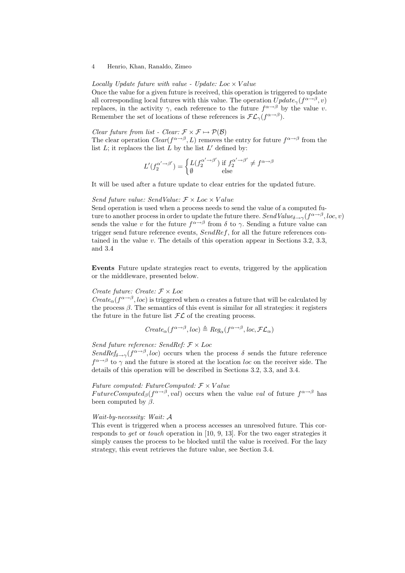*Locally Update future with value - Update:* Loc × V alue

Once the value for a given future is received, this operation is triggered to update all corresponding local futures with this value. The operation  $Update_{\gamma}(f^{\alpha \rightarrow \beta}, v)$ replaces, in the activity  $\gamma$ , each reference to the future  $f^{\alpha \rightarrow \beta}$  by the value v. Remember the set of locations of these references is  $\mathcal{FL}_{\gamma}(f^{\alpha \rightarrow \beta})$ .

*Clear future from list - Clear:*  $\mathcal{F} \times \mathcal{F} \mapsto \mathcal{P}(\mathcal{B})$ 

The clear operation *Clear*( $f^{\alpha \rightarrow \beta}$ , L) removes the entry for future  $f^{\alpha \rightarrow \beta}$  from the list  $L$ ; it replaces the list  $L$  by the list  $L'$  defined by:

$$
L'(f_2^{\alpha' \to \beta'}) = \begin{cases} L(f_2^{\alpha' \to \beta'}) \text{ if } f_2^{\alpha' \to \beta'} \neq f^{\alpha \to \beta} \\ \emptyset \text{ else } \end{cases}
$$

It will be used after a future update to clear entries for the updated future.

#### *Send future value: SendValue:*  $F \times Loc \times Value$

Send operation is used when a process needs to send the value of a computed future to another process in order to update the future there. *SendValue*<sub> $\delta \rightarrow \gamma$ </sub>( $f^{\alpha \rightarrow \beta}$ , *loc*, *v*) sends the value v for the future  $f^{\alpha \rightarrow \beta}$  from  $\delta$  to  $\gamma$ . Sending a future value can trigger send future reference events,  $SendRef$ , for all the future references contained in the value v. The details of this operation appear in Sections 3.2, 3.3, and 3.4

Events Future update strategies react to events, triggered by the application or the middleware, presented below.

#### *Create future: Create:* F × Loc

*Create<sub>α</sub>*( $f^{\alpha \rightarrow \beta}$ , *loc*) is triggered when  $\alpha$  creates a future that will be calculated by the process  $\beta$ . The semantics of this event is similar for all strategies: it registers the future in the future list  $\mathcal{FL}$  of the creating process.

$$
Create_{\alpha}(f^{\alpha \to \beta}, loc) \triangleq Reg_{\alpha}(f^{\alpha \to \beta}, loc, \mathcal{FL}_{\alpha})
$$

## *Send future reference: SendRef:* F × Loc

*SendRef*<sub> $\delta \rightarrow \gamma$ </sub>( $f^{\alpha \rightarrow \beta}$ , *loc*) occurs when the process  $\delta$  sends the future reference  $f^{\alpha \rightarrow \beta}$  to  $\gamma$  and the future is stored at the location loc on the receiver side. The details of this operation will be described in Sections 3.2, 3.3, and 3.4.

## *Future computed: FutureComputed:*  $F \times Value$

FutureComputed<sub>β</sub>( $f^{\alpha \rightarrow \beta}$ , val) occurs when the value val of future  $f^{\alpha \rightarrow \beta}$  has been computed by  $\beta$ .

#### *Wait-by-necessity: Wait:* A

This event is triggered when a process accesses an unresolved future. This corresponds to *get* or *touch* operation in [10, 9, 13]. For the two eager strategies it simply causes the process to be blocked until the value is received. For the lazy strategy, this event retrieves the future value, see Section 3.4.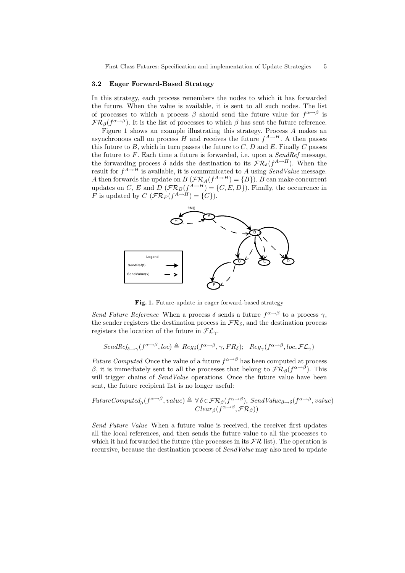#### 3.2 Eager Forward-Based Strategy

In this strategy, each process remembers the nodes to which it has forwarded the future. When the value is available, it is sent to all such nodes. The list of processes to which a process  $\beta$  should send the future value for  $f^{\alpha \rightarrow \beta}$  is  $\mathcal{FR}_{\beta}(f^{\alpha \rightarrow \beta})$ . It is the list of processes to which  $\beta$  has sent the future reference.

Figure 1 shows an example illustrating this strategy. Process A makes an asynchronous call on process H and receives the future  $f^{A\rightarrow H}$ . A then passes this future to  $B$ , which in turn passes the future to  $C$ ,  $D$  and  $E$ . Finally  $C$  passes the future to F. Each time a future is forwarded, i.e. upon a *SendRef* message, the forwarding process  $\delta$  adds the destination to its  $\mathcal{FR}_{\delta}(f^{A\rightarrow H})$ . When the result for  $f^{A \to H}$  is available, it is communicated to A using  $SendValue$  message. A then forwards the update on  $B\left(\mathcal{FR}_A(f^{A\rightarrow H}) = \{B\}\right)$ . B can make concurrent updates on C, E and D  $(\mathcal{FR}_B(f^{A\to H}) = \{C, E, D\})$ . Finally, the occurrence in F is updated by  $C \left( \mathcal{FR}_F(f^{A \to H}) = \{C\} \right)$ .



Fig. 1. Future-update in eager forward-based strategy

*Send Future Reference* When a process  $\delta$  sends a future  $f^{\alpha \rightarrow \beta}$  to a process  $\gamma$ , the sender registers the destination process in  $\mathcal{FR}_{\delta}$ , and the destination process registers the location of the future in  $FL_{\gamma}$ .

$$
SendRef_{\delta \to \gamma}(f^{\alpha \to \beta}, loc) \triangleq Reg_{\delta}(f^{\alpha \to \beta}, \gamma, FR_{\delta}); \quad Reg_{\gamma}(f^{\alpha \to \beta}, loc, \mathcal{FL}_{\gamma})
$$

*Future Computed* Once the value of a future  $f^{\alpha \rightarrow \beta}$  has been computed at process β, it is immediately sent to all the processes that belong to  $\mathcal{FR}_{\beta}(f^{\alpha\rightarrow\beta})$ . This will trigger chains of *SendValue* operations. Once the future value have been sent, the future recipient list is no longer useful:

$$
FutureComputed_{\beta}(f^{\alpha \to \beta}, value) \triangleq \forall \delta \in \mathcal{FR}_{\beta}(f^{\alpha \to \beta}), SendValue_{\beta \to \delta}(f^{\alpha \to \beta}, value)
$$
  

$$
Clear_{\beta}(f^{\alpha \to \beta}, \mathcal{FR}_{\beta}))
$$

*Send Future Value* When a future value is received, the receiver first updates all the local references, and then sends the future value to all the processes to which it had forwarded the future (the processes in its  $\mathcal{FR}$  list). The operation is recursive, because the destination process of *SendValue* may also need to update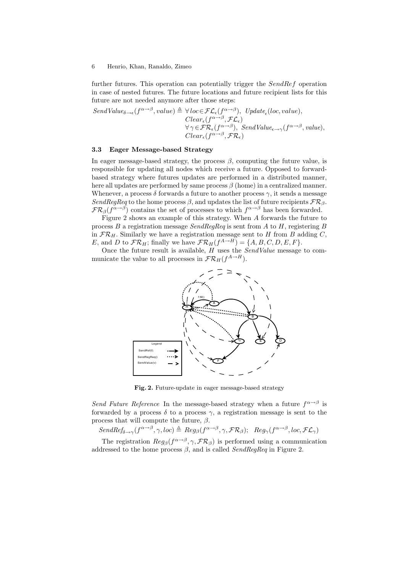further futures. This operation can potentially trigger the SendRef operation in case of nested futures. The future locations and future recipient lists for this future are not needed anymore after those steps:

$$
\begin{array}{ll}\textit{SendValue}_{\delta \rightarrow \epsilon}(f^{\alpha \rightarrow \beta}, value) \triangleq \forall \textit{loc} \in \mathcal{FL}_{\epsilon}(f^{\alpha \rightarrow \beta}), \textit{Update}_{\epsilon}(\textit{loc}, value), \\ \textit{Clear}_{\epsilon}(f^{\alpha \rightarrow \beta}, \mathcal{FL}_{\epsilon}) \\ \forall \gamma \in \mathcal{FR}_{\epsilon}(f^{\alpha \rightarrow \beta}), \textit{SendValue}_{\epsilon \rightarrow \gamma}(f^{\alpha \rightarrow \beta}, value), \\ \textit{Clear}_{\epsilon}(f^{\alpha \rightarrow \beta}, \mathcal{FR}_{\epsilon})\end{array}
$$

#### 3.3 Eager Message-based Strategy

In eager message-based strategy, the process  $\beta$ , computing the future value, is responsible for updating all nodes which receive a future. Opposed to forwardbased strategy where futures updates are performed in a distributed manner, here all updates are performed by same process  $\beta$  (home) in a centralized manner. Whenever, a process  $\delta$  forwards a future to another process  $\gamma$ , it sends a message *SendRegReq* to the home process  $\beta$ , and updates the list of future recipients  $\mathcal{FR}_{\beta}$ .  $\mathcal{FR}_{\beta}(f^{\alpha \rightarrow \beta})$  contains the set of processes to which  $f^{\alpha \rightarrow \beta}$  has been forwarded.

Figure 2 shows an example of this strategy. When A forwards the future to process B a registration message *SendRegReq* is sent from A to H, registering B in  $\mathcal{FR}_H$ . Similarly we have a registration message sent to H from B adding C, E, and D to  $\mathcal{FR}_H$ ; finally we have  $\mathcal{FR}_H(f^{A\to H}) = \{A, B, C, D, E, F\}.$ 

Once the future result is available, H uses the *SendValue* message to communicate the value to all processes in  $\mathcal{FR}_H(f^{A\rightarrow H})$ .



Fig. 2. Future-update in eager message-based strategy

*Send Future Reference* In the message-based strategy when a future  $f^{\alpha \rightarrow \beta}$  is forwarded by a process  $\delta$  to a process  $\gamma$ , a registration message is sent to the process that will compute the future,  $\beta$ .

 $SendRef_{\delta\rightarrow\gamma}(f^{\alpha\rightarrow\beta},\gamma,loc)\triangleq Reg_{\beta}(f^{\alpha\rightarrow\beta},\gamma,\mathcal{FR}_{\beta});\ \ Reg_{\gamma}(f^{\alpha\rightarrow\beta},loc,\mathcal{FL}_{\gamma})$ 

The registration  $Reg_\beta(f^{\alpha \to \beta}, \gamma, \mathcal{FR}_\beta)$  is performed using a communication addressed to the home process  $\beta$ , and is called *SendRegReq* in Figure 2.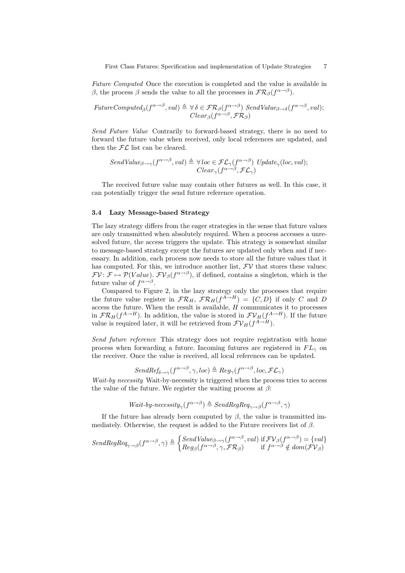*Future Computed* Once the execution is completed and the value is available in β, the process β sends the value to all the processes in  $\mathcal{FR}_\beta(f^{\alpha\rightarrow\beta})$ .

$$
FutureComputed_{\beta}(f^{\alpha \to \beta}, val) \triangleq \forall \delta \in \mathcal{FR}_{\beta}(f^{\alpha \to \beta}) \; SendValue_{\beta \to \delta}(f^{\alpha \to \beta}, val);
$$
  

$$
Clear_{\beta}(f^{\alpha \to \beta}, \mathcal{FR}_{\beta})
$$

*Send Future Value* Contrarily to forward-based strategy, there is no need to forward the future value when received, only local references are updated, and then the  $FL$  list can be cleared.

$$
SendValue_{\beta \to \gamma}(f^{\alpha \to \beta}, val) \triangleq \forall loc \in \mathcal{FL}_{\gamma}(f^{\alpha \to \beta}) \text{ Update}_{\gamma}(loc, val);
$$
  

$$
Clear_{\gamma}(f^{\alpha \to \beta}, \mathcal{FL}_{\gamma})
$$

The received future value may contain other futures as well. In this case, it can potentially trigger the send future reference operation.

#### 3.4 Lazy Message-based Strategy

The lazy strategy differs from the eager strategies in the sense that future values are only transmitted when absolutely required. When a process accesses a unresolved future, the access triggers the update. This strategy is somewhat similar to message-based strategy except the futures are updated only when and if necessary. In addition, each process now needs to store all the future values that it has computed. For this, we introduce another list,  $\mathcal{F}V$  that stores these values:  $F\mathcal{V}: \mathcal{F} \mapsto \mathcal{P}(Value)$ .  $F\mathcal{V}_{\beta}(f^{\alpha \rightarrow \beta})$ , if defined, contains a singleton, which is the future value of  $f^{\alpha \rightarrow \beta}$ .

Compared to Figure 2, in the lazy strategy only the processes that require the future value register in  $\mathcal{FR}_H$ ,  $\mathcal{FR}_H(f^{A\rightarrow H}) = \{C, D\}$  if only C and D access the future. When the result is available,  $H$  communicates it to processes in  $\mathcal{FR}_H(f^{A\to H})$ . In addition, the value is stored in  $\mathcal{FV}_H(f^{A\to H})$ . If the future value is required later, it will be retrieved from  $\mathcal{FV}_H(f^{A \to H})$ .

*Send future reference* This strategy does not require registration with home process when forwarding a future. Incoming futures are registered in  $FL<sub>\gamma</sub>$  on the receiver. Once the value is received, all local references can be updated.

$$
SendRef_{\delta \to \gamma}(f^{\alpha \to \beta}, \gamma, loc) \triangleq Reg_{\gamma}(f^{\alpha \to \beta}, loc, \mathcal{FL}_{\gamma})
$$

*Wait-by necessity* Wait-by-necessity is triggered when the process tries to access the value of the future. We register the waiting process at  $\beta$ :

$$
Wait \text{-} by \text{-} necessity_{\gamma}(f^{\alpha \to \beta}) \triangleq SendRegReg_{\gamma \to \beta}(f^{\alpha \to \beta}, \gamma)
$$

If the future has already been computed by  $\beta$ , the value is transmitted immediately. Otherwise, the request is added to the Future receivers list of  $\beta$ .

$$
SendRegReq_{\gamma \to \beta}(f^{\alpha \to \beta}, \gamma) \triangleq \begin{cases} SendValue_{\beta \to \gamma}(f^{\alpha \to \beta}, val) \text{ if } \mathcal{FV}_{\beta}(f^{\alpha \to \beta}) = \{val\} \\ Reg_{\beta}(f^{\alpha \to \beta}, \gamma, \mathcal{FR}_{\beta}) \text{ if } f^{\alpha \to \beta} \notin dom(\mathcal{FV}_{\beta}) \end{cases}
$$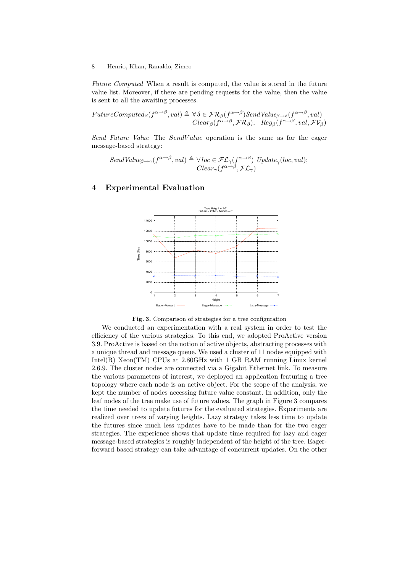*Future Computed* When a result is computed, the value is stored in the future value list. Moreover, if there are pending requests for the value, then the value is sent to all the awaiting processes.

$$
FutureComputed_{\beta}(f^{\alpha \to \beta}, val) \triangleq \forall \delta \in \mathcal{FR}_{\beta}(f^{\alpha \to \beta})\text{SendValue}_{\beta \to \delta}(f^{\alpha \to \beta}, val)
$$
  

$$
Clear_{\beta}(f^{\alpha \to \beta}, \mathcal{FR}_{\beta}); \quad Reg_{\beta}(f^{\alpha \to \beta}, val, \mathcal{FV}_{\beta})
$$

*Send Future Value* The SendV alue operation is the same as for the eager message-based strategy:

$$
SendValue_{\beta \to \gamma}(f^{\alpha \to \beta}, val) \triangleq \forall loc \in \mathcal{FL}_{\gamma}(f^{\alpha \to \beta}) \; Update_{\gamma}(loc, val);
$$
  

$$
Clear_{\gamma}(f^{\alpha \to \beta}, \mathcal{FL}_{\gamma})
$$

## 4 Experimental Evaluation





We conducted an experimentation with a real system in order to test the efficiency of the various strategies. To this end, we adopted ProActive version 3.9. ProActive is based on the notion of active objects, abstracting processes with a unique thread and message queue. We used a cluster of 11 nodes equipped with Intel $(R)$  Xeon $(TM)$  CPUs at 2.80GHz with 1 GB RAM running Linux kernel 2.6.9. The cluster nodes are connected via a Gigabit Ethernet link. To measure the various parameters of interest, we deployed an application featuring a tree topology where each node is an active object. For the scope of the analysis, we kept the number of nodes accessing future value constant. In addition, only the leaf nodes of the tree make use of future values. The graph in Figure 3 compares the time needed to update futures for the evaluated strategies. Experiments are realized over trees of varying heights. Lazy strategy takes less time to update the futures since much less updates have to be made than for the two eager strategies. The experience shows that update time required for lazy and eager message-based strategies is roughly independent of the height of the tree. Eagerforward based strategy can take advantage of concurrent updates. On the other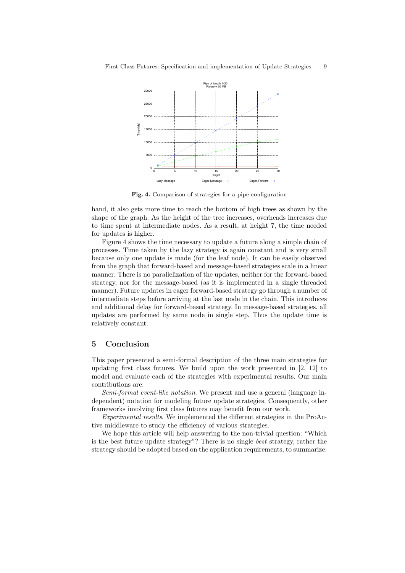

Fig. 4. Comparison of strategies for a pipe configuration

hand, it also gets more time to reach the bottom of high trees as shown by the shape of the graph. As the height of the tree increases, overheads increases due to time spent at intermediate nodes. As a result, at height 7, the time needed for updates is higher.

Figure 4 shows the time necessary to update a future along a simple chain of processes. Time taken by the lazy strategy is again constant and is very small because only one update is made (for the leaf node). It can be easily observed from the graph that forward-based and message-based strategies scale in a linear manner. There is no parallelization of the updates, neither for the forward-based strategy, nor for the message-based (as it is implemented in a single threaded manner). Future updates in eager forward-based strategy go through a number of intermediate steps before arriving at the last node in the chain. This introduces and additional delay for forward-based strategy. In message-based strategies, all updates are performed by same node in single step. Thus the update time is relatively constant.

### 5 Conclusion

This paper presented a semi-formal description of the three main strategies for updating first class futures. We build upon the work presented in [2, 12] to model and evaluate each of the strategies with experimental results. Our main contributions are:

*Semi-formal event-like notation*. We present and use a general (language independent) notation for modeling future update strategies. Consequently, other frameworks involving first class futures may benefit from our work.

*Experimental results*. We implemented the different strategies in the ProActive middleware to study the efficiency of various strategies.

We hope this article will help answering to the non-trivial question: "Which is the best future update strategy"? There is no single *best* strategy, rather the strategy should be adopted based on the application requirements, to summarize: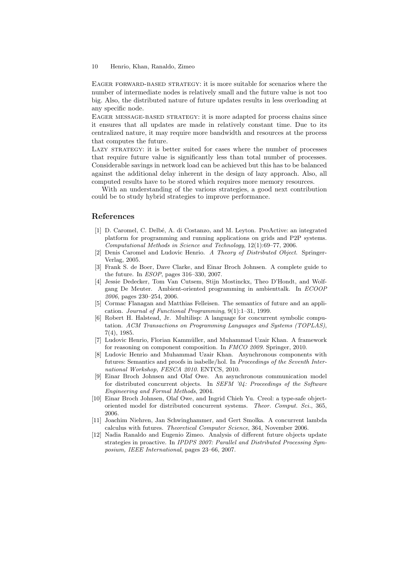Eager forward-based strategy: it is more suitable for scenarios where the number of intermediate nodes is relatively small and the future value is not too big. Also, the distributed nature of future updates results in less overloading at any specific node.

Eager message-based strategy: it is more adapted for process chains since it ensures that all updates are made in relatively constant time. Due to its centralized nature, it may require more bandwidth and resources at the process that computes the future.

LAZY STRATEGY: it is better suited for cases where the number of processes that require future value is significantly less than total number of processes. Considerable savings in network load can be achieved but this has to be balanced against the additional delay inherent in the design of lazy approach. Also, all computed results have to be stored which requires more memory resources.

With an understanding of the various strategies, a good next contribution could be to study hybrid strategies to improve performance.

### References

- [1] D. Caromel, C. Delb´e, A. di Costanzo, and M. Leyton. ProActive: an integrated platform for programming and running applications on grids and P2P systems. *Computational Methods in Science and Technology*, 12(1):69–77, 2006.
- [2] Denis Caromel and Ludovic Henrio. *A Theory of Distributed Object*. Springer-Verlag, 2005.
- [3] Frank S. de Boer, Dave Clarke, and Einar Broch Johnsen. A complete guide to the future. In *ESOP*, pages 316–330, 2007.
- [4] Jessie Dedecker, Tom Van Cutsem, Stijn Mostinckx, Theo D'Hondt, and Wolfgang De Meuter. Ambient-oriented programming in ambienttalk. In *ECOOP 2006*, pages 230–254, 2006.
- [5] Cormac Flanagan and Matthias Felleisen. The semantics of future and an application. *Journal of Functional Programming*, 9(1):1–31, 1999.
- [6] Robert H. Halstead, Jr. Multilisp: A language for concurrent symbolic computation. *ACM Transactions on Programming Languages and Systems (TOPLAS)*, 7(4), 1985.
- [7] Ludovic Henrio, Florian Kammüller, and Muhammad Uzair Khan. A framework for reasoning on component composition. In *FMCO 2009*. Springer, 2010.
- [8] Ludovic Henrio and Muhammad Uzair Khan. Asynchronous components with futures: Semantics and proofs in isabelle/hol. In *Proceedings of the Seventh International Workshop, FESCA 2010*. ENTCS, 2010.
- [9] Einar Broch Johnsen and Olaf Owe. An asynchronous communication model for distributed concurrent objects. In *SEFM '04: Proceedings of the Software Engineering and Formal Methods*, 2004.
- [10] Einar Broch Johnsen, Olaf Owe, and Ingrid Chieh Yu. Creol: a type-safe objectoriented model for distributed concurrent systems. *Theor. Comput. Sci.*, 365, 2006.
- [11] Joachim Niehren, Jan Schwinghammer, and Gert Smolka. A concurrent lambda calculus with futures. *Theoretical Computer Science*, 364, November 2006.
- [12] Nadia Ranaldo and Eugenio Zimeo. Analysis of different future objects update strategies in proactive. In *IPDPS 2007: Parallel and Distributed Processing Symposium, IEEE International*, pages 23–66, 2007.